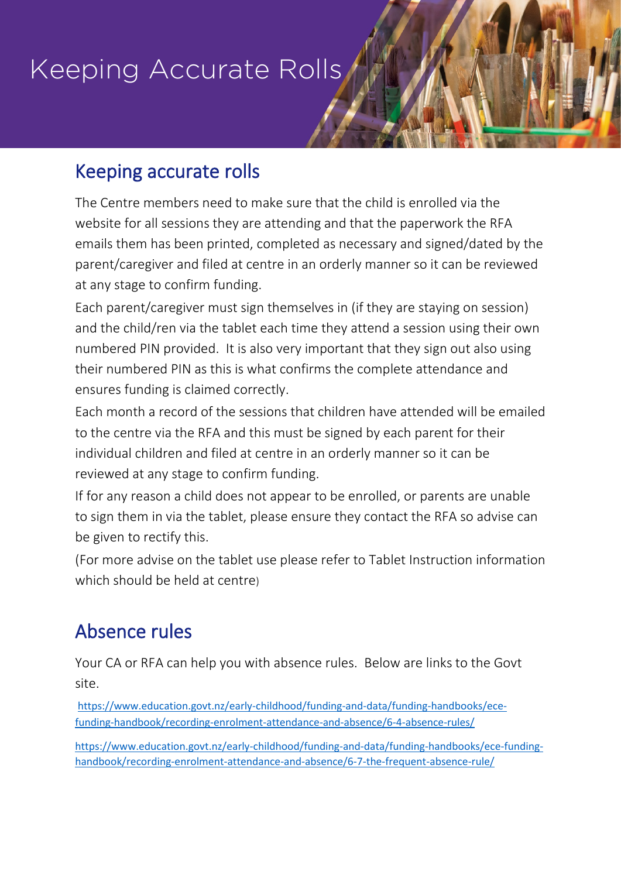# Keeping Accurate Rolls

## Keeping accurate rolls

The Centre members need to make sure that the child is enrolled via the website for all sessions they are attending and that the paperwork the RFA emails them has been printed, completed as necessary and signed/dated by the parent/caregiver and filed at centre in an orderly manner so it can be reviewed at any stage to confirm funding.

Each parent/caregiver must sign themselves in (if they are staying on session) and the child/ren via the tablet each time they attend a session using their own numbered PIN provided. It is also very important that they sign out also using their numbered PIN as this is what confirms the complete attendance and ensures funding is claimed correctly.

Each month a record of the sessions that children have attended will be emailed to the centre via the RFA and this must be signed by each parent for their individual children and filed at centre in an orderly manner so it can be reviewed at any stage to confirm funding.

If for any reason a child does not appear to be enrolled, or parents are unable to sign them in via the tablet, please ensure they contact the RFA so advise can be given to rectify this.

(For more advise on the tablet use please refer to Tablet Instruction information which should be held at centre)

# Absence rules

Your CA or RFA can help you with absence rules. Below are links to the Govt site.

[https://www.education.govt.nz/early-childhood/funding-and-data/funding-handbooks/ece](https://www.education.govt.nz/early-childhood/funding-and-data/funding-handbooks/ece-funding-handbook/recording-enrolment-attendance-and-absence/6-4-absence-rules/)[funding-handbook/recording-enrolment-attendance-and-absence/6-4-absence-rules/](https://www.education.govt.nz/early-childhood/funding-and-data/funding-handbooks/ece-funding-handbook/recording-enrolment-attendance-and-absence/6-4-absence-rules/)

[https://www.education.govt.nz/early-childhood/funding-and-data/funding-handbooks/ece-funding](https://www.education.govt.nz/early-childhood/funding-and-data/funding-handbooks/ece-funding-handbook/recording-enrolment-attendance-and-absence/6-7-the-frequent-absence-rule/)[handbook/recording-enrolment-attendance-and-absence/6-7-the-frequent-absence-rule/](https://www.education.govt.nz/early-childhood/funding-and-data/funding-handbooks/ece-funding-handbook/recording-enrolment-attendance-and-absence/6-7-the-frequent-absence-rule/)